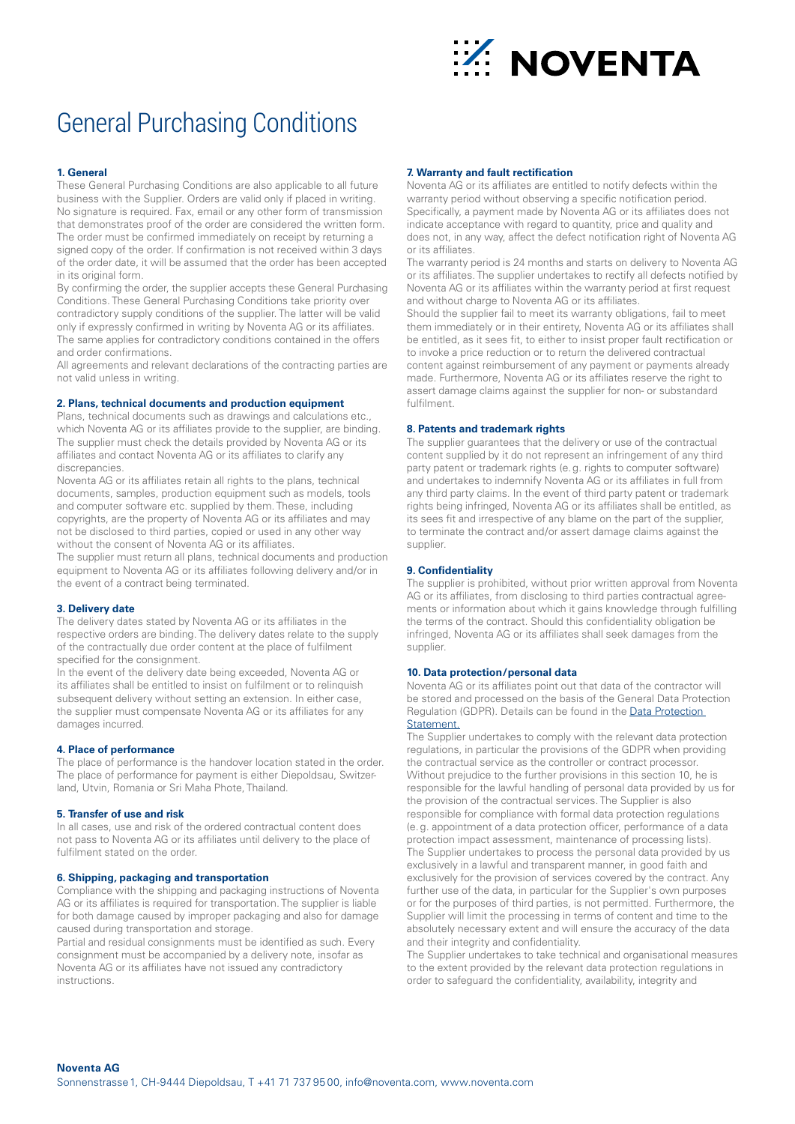

# General Purchasing Conditions

### **1. General**

These General Purchasing Conditions are also applicable to all future business with the Supplier. Orders are valid only if placed in writing. No signature is required. Fax, email or any other form of transmission that demonstrates proof of the order are considered the written form. The order must be confirmed immediately on receipt by returning a signed copy of the order. If confirmation is not received within 3 days of the order date, it will be assumed that the order has been accepted in its original form.

By confirming the order, the supplier accepts these General Purchasing Conditions. These General Purchasing Conditions take priority over contradictory supply conditions of the supplier. The latter will be valid only if expressly confirmed in writing by Noventa AG or its affiliates. The same applies for contradictory conditions contained in the offers and order confirmations.

All agreements and relevant declarations of the contracting parties are not valid unless in writing.

#### **2. Plans, technical documents and production equipment**

Plans, technical documents such as drawings and calculations etc., which Noventa AG or its affiliates provide to the supplier, are binding. The supplier must check the details provided by Noventa AG or its affiliates and contact Noventa AG or its affiliates to clarify any discrepancies.

Noventa AG or its affiliates retain all rights to the plans, technical documents, samples, production equipment such as models, tools and computer software etc. supplied by them. These, including copyrights, are the property of Noventa AG or its affiliates and may not be disclosed to third parties, copied or used in any other way without the consent of Noventa AG or its affiliates.

The supplier must return all plans, technical documents and production equipment to Noventa AG or its affiliates following delivery and/or in the event of a contract being terminated.

## **3. Delivery date**

The delivery dates stated by Noventa AG or its affiliates in the respective orders are binding. The delivery dates relate to the supply of the contractually due order content at the place of fulfilment specified for the consignment.

In the event of the delivery date being exceeded, Noventa AG or its affiliates shall be entitled to insist on fulfilment or to relinquish subsequent delivery without setting an extension. In either case, the supplier must compensate Noventa AG or its affiliates for any damages incurred.

# **4. Place of performance**

The place of performance is the handover location stated in the order. The place of performance for payment is either Diepoldsau, Switzerland, Utvin, Romania or Sri Maha Phote, Thailand.

## **5. Transfer of use and risk**

In all cases, use and risk of the ordered contractual content does not pass to Noventa AG or its affiliates until delivery to the place of fulfilment stated on the order.

#### **6. Shipping, packaging and transportation**

Compliance with the shipping and packaging instructions of Noventa AG or its affiliates is required for transportation. The supplier is liable for both damage caused by improper packaging and also for damage caused during transportation and storage.

Partial and residual consignments must be identified as such. Every consignment must be accompanied by a delivery note, insofar as Noventa AG or its affiliates have not issued any contradictory instructions.

# **7. Warranty and fault rectification**

Noventa AG or its affiliates are entitled to notify defects within the warranty period without observing a specific notification period. Specifically, a payment made by Noventa AG or its affiliates does not indicate acceptance with regard to quantity, price and quality and does not, in any way, affect the defect notification right of Noventa AG or its affiliates.

The warranty period is 24 months and starts on delivery to Noventa AG or its affiliates. The supplier undertakes to rectify all defects notified by Noventa AG or its affiliates within the warranty period at first request and without charge to Noventa AG or its affiliates.

Should the supplier fail to meet its warranty obligations, fail to meet them immediately or in their entirety, Noventa AG or its affiliates shall be entitled, as it sees fit, to either to insist proper fault rectification or to invoke a price reduction or to return the delivered contractual content against reimbursement of any payment or payments already made. Furthermore, Noventa AG or its affiliates reserve the right to assert damage claims against the supplier for non- or substandard fulfilment.

#### **8. Patents and trademark rights**

The supplier guarantees that the delivery or use of the contractual content supplied by it do not represent an infringement of any third party patent or trademark rights (e.g. rights to computer software) and undertakes to indemnify Noventa AG or its affiliates in full from any third party claims. In the event of third party patent or trademark rights being infringed, Noventa AG or its affiliates shall be entitled, as its sees fit and irrespective of any blame on the part of the supplier, to terminate the contract and/or assert damage claims against the supplier.

#### **9. Confidentiality**

The supplier is prohibited, without prior written approval from Noventa AG or its affiliates, from disclosing to third parties contractual agreements or information about which it gains knowledge through fulfilling the terms of the contract. Should this confidentiality obligation be infringed, Noventa AG or its affiliates shall seek damages from the supplier.

#### **10. Data protection/personal data**

Noventa AG or its affiliates point out that data of the contractor will be stored and processed on the basis of the General Data Protection Regulation (GDPR). Details can be found in the Data Protection [Statement](http://www.noventa.com).

The Supplier undertakes to comply with the relevant data protection regulations, in particular the provisions of the GDPR when providing the contractual service as the controller or contract processor. Without prejudice to the further provisions in this section 10, he is responsible for the lawful handling of personal data provided by us for the provision of the contractual services. The Supplier is also responsible for compliance with formal data protection regulations (e.g. appointment of a data protection officer, performance of a data protection impact assessment, maintenance of processing lists). The Supplier undertakes to process the personal data provided by us exclusively in a lawful and transparent manner, in good faith and exclusively for the provision of services covered by the contract. Any further use of the data, in particular for the Supplier's own purposes or for the purposes of third parties, is not permitted. Furthermore, the Supplier will limit the processing in terms of content and time to the absolutely necessary extent and will ensure the accuracy of the data and their integrity and confidentiality.

The Supplier undertakes to take technical and organisational measures to the extent provided by the relevant data protection regulations in order to safeguard the confidentiality, availability, integrity and